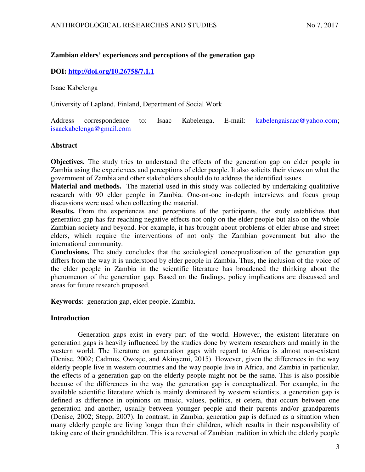# **Zambian elders' experiences and perceptions of the generation gap**

# **DOI:<http://doi.org/10.26758/7.1.1>**

Isaac Kabelenga

University of Lapland, Finland, Department of Social Work

Address correspondence to: Isaac Kabelenga, E-mail: [kabelengaisaac@yahoo.com;](mailto:kabelengaisaac@yahoo.com) [isaackabelenga@gmail.com](mailto:isaackabelenga@gmail.com) 

## **Abstract**

**Objectives.** The study tries to understand the effects of the generation gap on elder people in Zambia using the experiences and perceptions of elder people. It also solicits their views on what the government of Zambia and other stakeholders should do to address the identified issues.

**Material and methods.** The material used in this study was collected by undertaking qualitative research with 90 elder people in Zambia. One-on-one in-depth interviews and focus group discussions were used when collecting the material.

**Results.** From the experiences and perceptions of the participants, the study establishes that generation gap has far reaching negative effects not only on the elder people but also on the whole Zambian society and beyond. For example, it has brought about problems of elder abuse and street elders, which require the interventions of not only the Zambian government but also the international community.

**Conclusions.** The study concludes that the sociological conceptualization of the generation gap differs from the way it is understood by elder people in Zambia. Thus, the inclusion of the voice of the elder people in Zambia in the scientific literature has broadened the thinking about the phenomenon of the generation gap. Based on the findings, policy implications are discussed and areas for future research proposed.

**Keywords**: generation gap, elder people, Zambia.

## **Introduction**

 Generation gaps exist in every part of the world. However, the existent literature on generation gaps is heavily influenced by the studies done by western researchers and mainly in the western world. The literature on generation gaps with regard to Africa is almost non-existent (Denise, 2002; Cadmus, Owoaje, and Akinyemi, 2015). However, given the differences in the way elderly people live in western countries and the way people live in Africa, and Zambia in particular, the effects of a generation gap on the elderly people might not be the same. This is also possible because of the differences in the way the generation gap is conceptualized. For example, in the available scientific literature which is mainly dominated by western scientists, a generation gap is defined as difference in opinions on music, values, politics, et cetera, that occurs between one generation and another, usually between younger people and their parents and/or grandparents (Denise, 2002; Stepp, 2007). In contrast, in Zambia, generation gap is defined as a situation when many elderly people are living longer than their children, which results in their responsibility of taking care of their grandchildren. This is a reversal of Zambian tradition in which the elderly people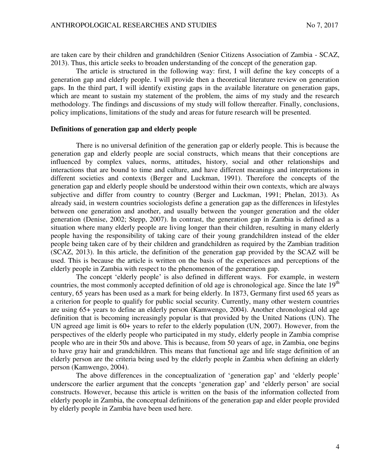are taken care by their children and grandchildren (Senior Citizens Association of Zambia - SCAZ, 2013). Thus, this article seeks to broaden understanding of the concept of the generation gap.

The article is structured in the following way: first, I will define the key concepts of a generation gap and elderly people. I will provide then a theoretical literature review on generation gaps. In the third part, I will identify existing gaps in the available literature on generation gaps, which are meant to sustain my statement of the problem, the aims of my study and the research methodology. The findings and discussions of my study will follow thereafter. Finally, conclusions, policy implications, limitations of the study and areas for future research will be presented.

#### **Definitions of generation gap and elderly people**

There is no universal definition of the generation gap or elderly people. This is because the generation gap and elderly people are social constructs, which means that their conceptions are influenced by complex values, norms, attitudes, history, social and other relationships and interactions that are bound to time and culture, and have different meanings and interpretations in different societies and contexts (Berger and Luckman, 1991). Therefore the concepts of the generation gap and elderly people should be understood within their own contexts, which are always subjective and differ from country to country (Berger and Luckman, 1991; Phelan, 2013). As already said, in western countries sociologists define a generation gap as the differences in lifestyles between one generation and another, and usually between the younger generation and the older generation (Denise, 2002; Stepp, 2007). In contrast, the generation gap in Zambia is defined as a situation where many elderly people are living longer than their children, resulting in many elderly people having the responsibility of taking care of their young grandchildren instead of the elder people being taken care of by their children and grandchildren as required by the Zambian tradition (SCAZ, 2013). In this article, the definition of the generation gap provided by the SCAZ will be used. This is because the article is written on the basis of the experiences and perceptions of the elderly people in Zambia with respect to the phenomenon of the generation gap.

The concept 'elderly people' is also defined in different ways. For example, in western countries, the most commonly accepted definition of old age is chronological age. Since the late 19<sup>th</sup> century, 65 years has been used as a mark for being elderly. In 1873, Germany first used 65 years as a criterion for people to qualify for public social security. Currently, many other western countries are using 65+ years to define an elderly person (Kamwengo, 2004). Another chronological old age definition that is becoming increasingly popular is that provided by the United Nations (UN). The UN agreed age limit is 60+ years to refer to the elderly population (UN, 2007). However, from the perspectives of the elderly people who participated in my study, elderly people in Zambia comprise people who are in their 50s and above. This is because, from 50 years of age, in Zambia, one begins to have gray hair and grandchildren. This means that functional age and life stage definition of an elderly person are the criteria being used by the elderly people in Zambia when defining an elderly person (Kamwengo, 2004).

The above differences in the conceptualization of 'generation gap' and 'elderly people' underscore the earlier argument that the concepts 'generation gap' and 'elderly person' are social constructs. However, because this article is written on the basis of the information collected from elderly people in Zambia, the conceptual definitions of the generation gap and elder people provided by elderly people in Zambia have been used here.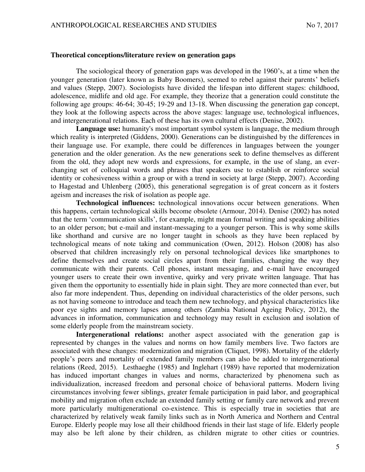#### **Theoretical conceptions/literature review on generation gaps**

The sociological theory of generation gaps was developed in the 1960's, at a time when the younger generation (later known as Baby Boomers), seemed to rebel against their parents' beliefs and values (Stepp, 2007). Sociologists have divided the lifespan into different stages: childhood, adolescence, midlife and old age. For example, they theorize that a generation could constitute the following age groups: 46-64; 30-45; 19-29 and 13-18. When discussing the generation gap concept, they look at the following aspects across the above stages: language use, technological influences, and intergenerational relations. Each of these has its own cultural effects (Denise, 2002).

**Language use:** humanity's most important symbol system is language, the medium through which reality is interpreted (Giddens, 2000). Generations can be distinguished by the differences in their language use. For example, there could be differences in languages between the younger generation and the older generation. As the new generations seek to define themselves as different from the old, they adopt new words and expressions, for example, in the use of slang, an everchanging set of colloquial words and phrases that speakers use to establish or reinforce social identity or cohesiveness within a group or with a trend in society at large (Stepp, 2007). According to Hagestad and Uhlenberg (2005), this generational segregation is of great concern as it fosters ageism and increases the risk of isolation as people age.

**Technological influences:** technological innovations occur between generations. When this happens, certain technological skills become obsolete (Armour, 2014). Denise (2002) has noted that the term 'communication skills', for example, might mean formal writing and speaking abilities to an older person; but e-mail and instant-messaging to a younger person. This is why some skills like shorthand and cursive are no longer taught in schools as they have been replaced by technological means of note taking and communication (Owen, 2012). Holson (2008) has also observed that children increasingly rely on personal technological devices like smartphones to define themselves and create social circles apart from their families, changing the way they communicate with their parents. Cell phones, instant messaging, and e-mail have encouraged younger users to create their own inventive, quirky and very private written language. That has given them the opportunity to essentially hide in plain sight. They are more connected than ever, but also far more independent. Thus, depending on individual characteristics of the older persons, such as not having someone to introduce and teach them new technology, and physical characteristics like poor eye sights and memory lapses among others (Zambia National Ageing Policy, 2012), the advances in information, communication and technology may result in exclusion and isolation of some elderly people from the mainstream society.

**Intergenerational relations:** another aspect associated with the generation gap is represented by changes in the values and norms on how family members live. Two factors are associated with these changes: modernization and migration (Cliquet, 1998). Mortality of the elderly people's peers and mortality of extended family members can also be added to intergenerational relations (Reed, 2015). Lesthaeghe (1985) and Inglehart (1989) have reported that modernization has induced important changes in values and norms, characterized by phenomena such as individualization, increased freedom and personal choice of behavioral patterns. Modern living circumstances involving fewer siblings, greater female participation in paid labor, and geographical mobility and migration often exclude an extended family setting or family care network and prevent more particularly multigenerational co-existence. This is especially true in societies that are characterized by relatively weak family links such as in North America and Northern and Central Europe. Elderly people may lose all their childhood friends in their last stage of life. Elderly people may also be left alone by their children, as children migrate to other cities or countries.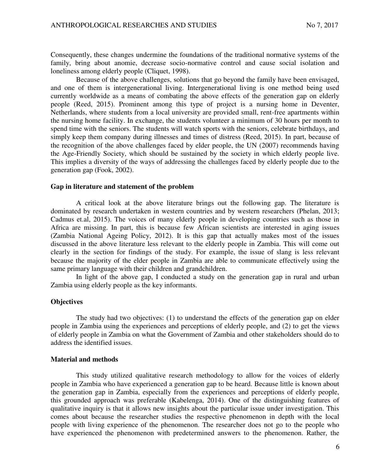Consequently, these changes undermine the foundations of the traditional normative systems of the family, bring about anomie, decrease socio-normative control and cause social isolation and loneliness among elderly people (Cliquet, 1998).

Because of the above challenges, solutions that go beyond the family have been envisaged, and one of them is intergenerational living. Intergenerational living is one method being used currently worldwide as a means of combating the above effects of the generation gap on elderly people (Reed, 2015). Prominent among this type of project is a nursing home in Deventer, Netherlands, where students from a local university are provided small, rent-free apartments within the nursing home facility. In exchange, the students volunteer a minimum of 30 hours per month to spend time with the seniors. The students will watch sports with the seniors, celebrate birthdays, and simply keep them company during illnesses and times of distress (Reed, 2015). In part, because of the recognition of the above challenges faced by elder people, the UN (2007) recommends having the Age-Friendly Society, which should be sustained by the society in which elderly people live. This implies a diversity of the ways of addressing the challenges faced by elderly people due to the generation gap (Fook, 2002).

#### **Gap in literature and statement of the problem**

A critical look at the above literature brings out the following gap. The literature is dominated by research undertaken in western countries and by western researchers (Phelan, 2013; Cadmus et.al, 2015). The voices of many elderly people in developing countries such as those in Africa are missing. In part, this is because few African scientists are interested in aging issues (Zambia National Ageing Policy, 2012). It is this gap that actually makes most of the issues discussed in the above literature less relevant to the elderly people in Zambia. This will come out clearly in the section for findings of the study. For example, the issue of slang is less relevant because the majority of the elder people in Zambia are able to communicate effectively using the same primary language with their children and grandchildren.

In light of the above gap, I conducted a study on the generation gap in rural and urban Zambia using elderly people as the key informants.

#### **Objectives**

The study had two objectives: (1) to understand the effects of the generation gap on elder people in Zambia using the experiences and perceptions of elderly people, and (2) to get the views of elderly people in Zambia on what the Government of Zambia and other stakeholders should do to address the identified issues.

#### **Material and methods**

This study utilized qualitative research methodology to allow for the voices of elderly people in Zambia who have experienced a generation gap to be heard. Because little is known about the generation gap in Zambia, especially from the experiences and perceptions of elderly people, this grounded approach was preferable (Kabelenga, 2014). One of the distinguishing features of qualitative inquiry is that it allows new insights about the particular issue under investigation. This comes about because the researcher studies the respective phenomenon in depth with the local people with living experience of the phenomenon. The researcher does not go to the people who have experienced the phenomenon with predetermined answers to the phenomenon. Rather, the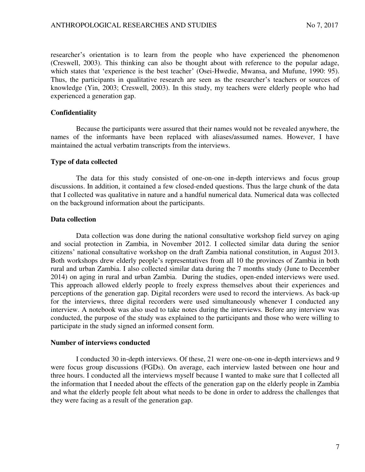researcher's orientation is to learn from the people who have experienced the phenomenon (Creswell, 2003). This thinking can also be thought about with reference to the popular adage, which states that 'experience is the best teacher' (Osei-Hwedie, Mwansa, and Mufune, 1990: 95). Thus, the participants in qualitative research are seen as the researcher's teachers or sources of knowledge (Yin, 2003; Creswell, 2003). In this study, my teachers were elderly people who had experienced a generation gap.

### **Confidentiality**

Because the participants were assured that their names would not be revealed anywhere, the names of the informants have been replaced with aliases/assumed names. However, I have maintained the actual verbatim transcripts from the interviews.

## **Type of data collected**

The data for this study consisted of one-on-one in-depth interviews and focus group discussions. In addition, it contained a few closed-ended questions. Thus the large chunk of the data that I collected was qualitative in nature and a handful numerical data. Numerical data was collected on the background information about the participants.

## **Data collection**

Data collection was done during the national consultative workshop field survey on aging and social protection in Zambia, in November 2012. I collected similar data during the senior citizens' national consultative workshop on the draft Zambia national constitution, in August 2013. Both workshops drew elderly people's representatives from all 10 the provinces of Zambia in both rural and urban Zambia. I also collected similar data during the 7 months study (June to December 2014) on aging in rural and urban Zambia. During the studies, open-ended interviews were used. This approach allowed elderly people to freely express themselves about their experiences and perceptions of the generation gap. Digital recorders were used to record the interviews. As back-up for the interviews, three digital recorders were used simultaneously whenever I conducted any interview. A notebook was also used to take notes during the interviews. Before any interview was conducted, the purpose of the study was explained to the participants and those who were willing to participate in the study signed an informed consent form.

#### **Number of interviews conducted**

I conducted 30 in-depth interviews. Of these, 21 were one-on-one in-depth interviews and 9 were focus group discussions (FGDs). On average, each interview lasted between one hour and three hours. I conducted all the interviews myself because I wanted to make sure that I collected all the information that I needed about the effects of the generation gap on the elderly people in Zambia and what the elderly people felt about what needs to be done in order to address the challenges that they were facing as a result of the generation gap.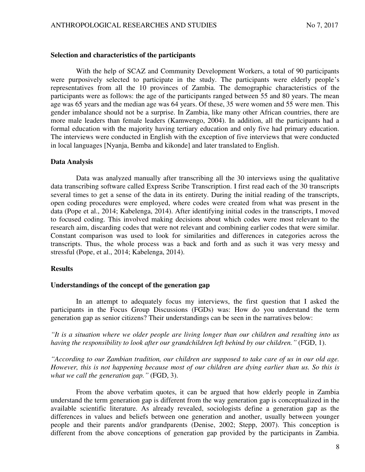## **Selection and characteristics of the participants**

With the help of SCAZ and Community Development Workers, a total of 90 participants were purposively selected to participate in the study. The participants were elderly people's representatives from all the 10 provinces of Zambia. The demographic characteristics of the participants were as follows: the age of the participants ranged between 55 and 80 years. The mean age was 65 years and the median age was 64 years. Of these, 35 were women and 55 were men. This gender imbalance should not be a surprise. In Zambia, like many other African countries, there are more male leaders than female leaders (Kamwengo, 2004). In addition, all the participants had a formal education with the majority having tertiary education and only five had primary education. The interviews were conducted in English with the exception of five interviews that were conducted in local languages [Nyanja, Bemba and kikonde] and later translated to English.

#### **Data Analysis**

Data was analyzed manually after transcribing all the 30 interviews using the qualitative data transcribing software called Express Scribe Transcription. I first read each of the 30 transcripts several times to get a sense of the data in its entirety. During the initial reading of the transcripts, open coding procedures were employed, where codes were created from what was present in the data (Pope et al., 2014; Kabelenga, 2014). After identifying initial codes in the transcripts, I moved to focused coding. This involved making decisions about which codes were most relevant to the research aim, discarding codes that were not relevant and combining earlier codes that were similar. Constant comparison was used to look for similarities and differences in categories across the transcripts. Thus, the whole process was a back and forth and as such it was very messy and stressful (Pope, et al., 2014; Kabelenga, 2014).

#### **Results**

### **Understandings of the concept of the generation gap**

In an attempt to adequately focus my interviews, the first question that I asked the participants in the Focus Group Discussions (FGDs) was: How do you understand the term generation gap as senior citizens? Their understandings can be seen in the narratives below:

*"It is a situation where we older people are living longer than our children and resulting into us having the responsibility to look after our grandchildren left behind by our children."* (FGD, 1).

*"According to our Zambian tradition, our children are supposed to take care of us in our old age. However, this is not happening because most of our children are dying earlier than us. So this is what we call the generation gap."* (FGD, 3).

From the above verbatim quotes, it can be argued that how elderly people in Zambia understand the term generation gap is different from the way generation gap is conceptualized in the available scientific literature. As already revealed, sociologists define a generation gap as the differences in values and beliefs between one generation and another, usually between younger people and their parents and/or grandparents (Denise, 2002; Stepp, 2007). This conception is different from the above conceptions of generation gap provided by the participants in Zambia.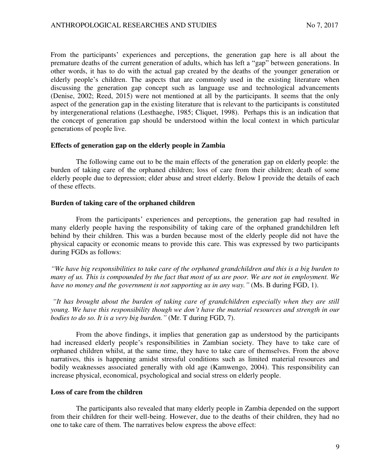From the participants' experiences and perceptions, the generation gap here is all about the premature deaths of the current generation of adults, which has left a "gap" between generations. In other words, it has to do with the actual gap created by the deaths of the younger generation or elderly people's children. The aspects that are commonly used in the existing literature when discussing the generation gap concept such as language use and technological advancements (Denise, 2002; Reed, 2015) were not mentioned at all by the participants. It seems that the only aspect of the generation gap in the existing literature that is relevant to the participants is constituted by intergenerational relations (Lesthaeghe, 1985; Cliquet, 1998). Perhaps this is an indication that the concept of generation gap should be understood within the local context in which particular generations of people live.

#### **Effects of generation gap on the elderly people in Zambia**

 The following came out to be the main effects of the generation gap on elderly people: the burden of taking care of the orphaned children; loss of care from their children; death of some elderly people due to depression; elder abuse and street elderly. Below I provide the details of each of these effects.

#### **Burden of taking care of the orphaned children**

From the participants' experiences and perceptions, the generation gap had resulted in many elderly people having the responsibility of taking care of the orphaned grandchildren left behind by their children. This was a burden because most of the elderly people did not have the physical capacity or economic means to provide this care. This was expressed by two participants during FGDs as follows:

*"We have big responsibilities to take care of the orphaned grandchildren and this is a big burden to many of us. This is compounded by the fact that most of us are poor. We are not in employment. We have no money and the government is not supporting us in any way."* (Ms. B during FGD, 1).

*"It has brought about the burden of taking care of grandchildren especially when they are still young. We have this responsibility though we don't have the material resources and strength in our bodies to do so. It is a very big burden."* (Mr. T during FGD, 7).

From the above findings, it implies that generation gap as understood by the participants had increased elderly people's responsibilities in Zambian society. They have to take care of orphaned children whilst, at the same time, they have to take care of themselves. From the above narratives, this is happening amidst stressful conditions such as limited material resources and bodily weaknesses associated generally with old age (Kamwengo, 2004). This responsibility can increase physical, economical, psychological and social stress on elderly people.

#### **Loss of care from the children**

The participants also revealed that many elderly people in Zambia depended on the support from their children for their well-being. However, due to the deaths of their children, they had no one to take care of them. The narratives below express the above effect: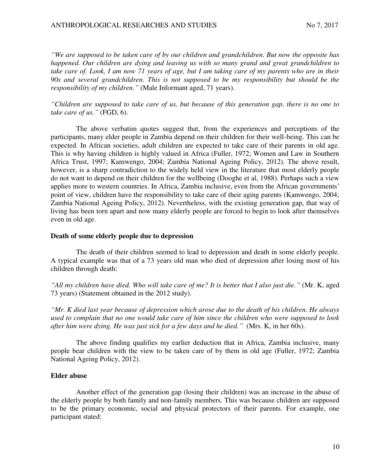*"We are supposed to be taken care of by our children and grandchildren. But now the opposite has happened. Our children are dying and leaving us with so many grand and great grandchildren to take care of. Look, I am now 71 years of age, but I am taking care of my parents who are in their 90s and several grandchildren. This is not supposed to be my responsibility but should be the responsibility of my children."* (Male Informant aged, 71 years).

*"Children are supposed to take care of us, but because of this generation gap, there is no one to take care of us."* (FGD, 6).

The above verbatim quotes suggest that, from the experiences and perceptions of the participants, many elder people in Zambia depend on their children for their well-being. This can be expected. In African societies, adult children are expected to take care of their parents in old age. This is why having children is highly valued in Africa (Fuller, 1972; Women and Law in Southern Africa Trust, 1997; Kamwengo, 2004; Zambia National Ageing Policy, 2012). The above result, however, is a sharp contradiction to the widely held view in the literature that most elderly people do not want to depend on their children for the wellbeing (Dooghe et al, 1988). Perhaps such a view applies more to western countries. In Africa, Zambia inclusive, even from the African governments' point of view, children have the responsibility to take care of their aging parents (Kamwengo, 2004; Zambia National Ageing Policy, 2012). Nevertheless, with the existing generation gap, that way of living has been torn apart and now many elderly people are forced to begin to look after themselves even in old age.

### **Death of some elderly people due to depression**

The death of their children seemed to lead to depression and death in some elderly people. A typical example was that of a 73 years old man who died of depression after losing most of his children through death:

*"All my children have died. Who will take care of me? It is better that I also just die."* (Mr. K, aged 73 years) (Statement obtained in the 2012 study).

*"Mr. K died last year because of depression which arose due to the death of his children. He always used to complain that no one would take care of him since the children who were supposed to look after him were dying. He was just sick for a few days and he died."* (Mrs. K, in her 60s).

The above finding qualifies my earlier deduction that in Africa, Zambia inclusive, many people bear children with the view to be taken care of by them in old age (Fuller, 1972; Zambia National Ageing Policy, 2012).

## **Elder abuse**

Another effect of the generation gap (losing their children) was an increase in the abuse of the elderly people by both family and non-family members. This was because children are supposed to be the primary economic, social and physical protectors of their parents. For example, one participant stated: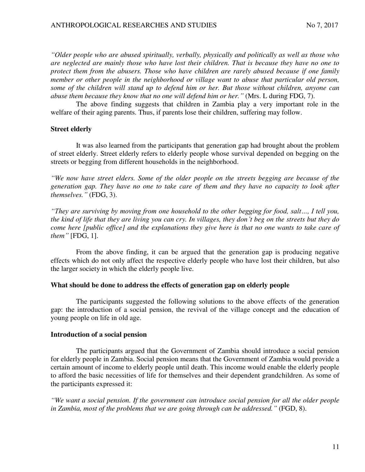*"Older people who are abused spiritually, verbally, physically and politically as well as those who are neglected are mainly those who have lost their children. That is because they have no one to protect them from the abusers. Those who have children are rarely abused because if one family member or other people in the neighborhood or village want to abuse that particular old person, some of the children will stand up to defend him or her. But those without children, anyone can abuse them because they know that no one will defend him or her."* (Mrs. L during FDG, 7).

 The above finding suggests that children in Zambia play a very important role in the welfare of their aging parents. Thus, if parents lose their children, suffering may follow.

### **Street elderly**

It was also learned from the participants that generation gap had brought about the problem of street elderly. Street elderly refers to elderly people whose survival depended on begging on the streets or begging from different households in the neighborhood.

*"We now have street elders. Some of the older people on the streets begging are because of the generation gap. They have no one to take care of them and they have no capacity to look after themselves."* (FDG, 3).

*"They are surviving by moving from one household to the other begging for food, salt…, I tell you, the kind of life that they are living you can cry. In villages, they don't beg on the streets but they do come here [public office] and the explanations they give here is that no one wants to take care of them"* [FDG, 1].

From the above finding, it can be argued that the generation gap is producing negative effects which do not only affect the respective elderly people who have lost their children, but also the larger society in which the elderly people live.

#### **What should be done to address the effects of generation gap on elderly people**

The participants suggested the following solutions to the above effects of the generation gap: the introduction of a social pension, the revival of the village concept and the education of young people on life in old age.

#### **Introduction of a social pension**

The participants argued that the Government of Zambia should introduce a social pension for elderly people in Zambia. Social pension means that the Government of Zambia would provide a certain amount of income to elderly people until death. This income would enable the elderly people to afford the basic necessities of life for themselves and their dependent grandchildren. As some of the participants expressed it:

*"We want a social pension. If the government can introduce social pension for all the older people in Zambia, most of the problems that we are going through can be addressed."* (FGD, 8).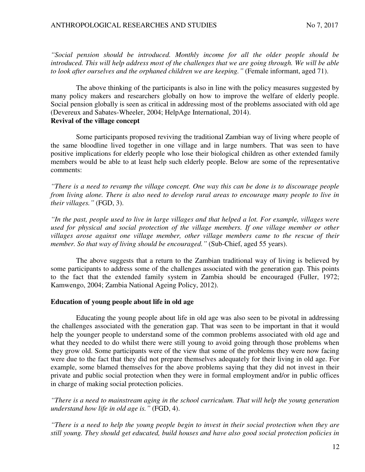*"Social pension should be introduced. Monthly income for all the older people should be introduced. This will help address most of the challenges that we are going through. We will be able to look after ourselves and the orphaned children we are keeping."* (Female informant, aged 71).

The above thinking of the participants is also in line with the policy measures suggested by many policy makers and researchers globally on how to improve the welfare of elderly people. Social pension globally is seen as critical in addressing most of the problems associated with old age (Devereux and Sabates-Wheeler, 2004; HelpAge International, 2014). **Revival of the village concept** 

Some participants proposed reviving the traditional Zambian way of living where people of the same bloodline lived together in one village and in large numbers. That was seen to have positive implications for elderly people who lose their biological children as other extended family members would be able to at least help such elderly people. Below are some of the representative comments:

*"There is a need to revamp the village concept. One way this can be done is to discourage people from living alone. There is also need to develop rural areas to encourage many people to live in their villages."* (FGD, 3).

*"In the past, people used to live in large villages and that helped a lot. For example, villages were used for physical and social protection of the village members. If one village member or other villages arose against one village member, other village members came to the rescue of their member. So that way of living should be encouraged."* (Sub-Chief, aged 55 years).

The above suggests that a return to the Zambian traditional way of living is believed by some participants to address some of the challenges associated with the generation gap. This points to the fact that the extended family system in Zambia should be encouraged (Fuller, 1972; Kamwengo, 2004; Zambia National Ageing Policy, 2012).

### **Education of young people about life in old age**

Educating the young people about life in old age was also seen to be pivotal in addressing the challenges associated with the generation gap. That was seen to be important in that it would help the younger people to understand some of the common problems associated with old age and what they needed to do whilst there were still young to avoid going through those problems when they grow old. Some participants were of the view that some of the problems they were now facing were due to the fact that they did not prepare themselves adequately for their living in old age. For example, some blamed themselves for the above problems saying that they did not invest in their private and public social protection when they were in formal employment and/or in public offices in charge of making social protection policies.

*"There is a need to mainstream aging in the school curriculum. That will help the young generation understand how life in old age is."* (FGD, 4).

*"There is a need to help the young people begin to invest in their social protection when they are still young. They should get educated, build houses and have also good social protection policies in*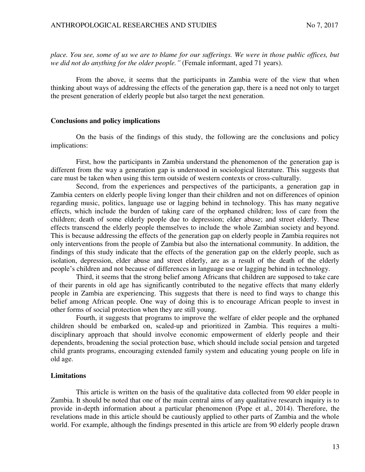*place. You see, some of us we are to blame for our sufferings. We were in those public offices, but we did not do anything for the older people."* (Female informant, aged 71 years).

From the above, it seems that the participants in Zambia were of the view that when thinking about ways of addressing the effects of the generation gap, there is a need not only to target the present generation of elderly people but also target the next generation.

#### **Conclusions and policy implications**

On the basis of the findings of this study, the following are the conclusions and policy implications:

First, how the participants in Zambia understand the phenomenon of the generation gap is different from the way a generation gap is understood in sociological literature. This suggests that care must be taken when using this term outside of western contexts or cross-culturally.

Second, from the experiences and perspectives of the participants, a generation gap in Zambia centers on elderly people living longer than their children and not on differences of opinion regarding music, politics, language use or lagging behind in technology. This has many negative effects, which include the burden of taking care of the orphaned children; loss of care from the children; death of some elderly people due to depression; elder abuse; and street elderly. These effects transcend the elderly people themselves to include the whole Zambian society and beyond. This is because addressing the effects of the generation gap on elderly people in Zambia requires not only interventions from the people of Zambia but also the international community. In addition, the findings of this study indicate that the effects of the generation gap on the elderly people, such as isolation, depression, elder abuse and street elderly, are as a result of the death of the elderly people's children and not because of differences in language use or lagging behind in technology.

 Third, it seems that the strong belief among Africans that children are supposed to take care of their parents in old age has significantly contributed to the negative effects that many elderly people in Zambia are experiencing. This suggests that there is need to find ways to change this belief among African people. One way of doing this is to encourage African people to invest in other forms of social protection when they are still young.

 Fourth, it suggests that programs to improve the welfare of elder people and the orphaned children should be embarked on, scaled-up and prioritized in Zambia. This requires a multidisciplinary approach that should involve economic empowerment of elderly people and their dependents, broadening the social protection base, which should include social pension and targeted child grants programs, encouraging extended family system and educating young people on life in old age.

#### **Limitations**

 This article is written on the basis of the qualitative data collected from 90 elder people in Zambia. It should be noted that one of the main central aims of any qualitative research inquiry is to provide in-depth information about a particular phenomenon (Pope et al., 2014). Therefore, the revelations made in this article should be cautiously applied to other parts of Zambia and the whole world. For example, although the findings presented in this article are from 90 elderly people drawn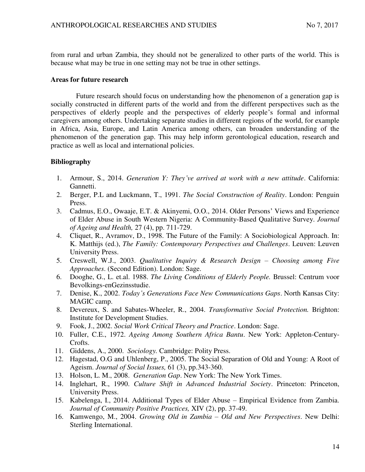from rural and urban Zambia, they should not be generalized to other parts of the world. This is because what may be true in one setting may not be true in other settings.

## **Areas for future research**

Future research should focus on understanding how the phenomenon of a generation gap is socially constructed in different parts of the world and from the different perspectives such as the perspectives of elderly people and the perspectives of elderly people's formal and informal caregivers among others. Undertaking separate studies in different regions of the world, for example in Africa, Asia, Europe, and Latin America among others, can broaden understanding of the phenomenon of the generation gap. This may help inform gerontological education, research and practice as well as local and international policies.

## **Bibliography**

- 1. Armour, S., 2014. *Generation Y: They've arrived at work with a new attitude*. California: Gannetti.
- 2. Berger, P.L and Luckmann, T., 1991. *The Social Construction of Reality*. London: Penguin Press.
- 3. Cadmus, E.O., Owaaje, E.T. & Akinyemi, O.O., 2014. Older Persons' Views and Experience of Elder Abuse in South Western Nigeria: A Community-Based Qualitative Survey. *Journal of Ageing and Health,* 27 (4), pp. 711-729.
- 4. Cliquet, R., Avramov, D., 1998. The Future of the Family: A Sociobiological Approach. In: K. Matthijs (ed.), *The Family: Contemporary Perspectives and Challenges*. Leuven: Leuven University Press.
- 5. Creswell, W.J., 2003. *Qualitative Inquiry & Research Design – Choosing among Five Approaches*. (Second Edition). London: Sage.
- 6. Dooghe, G., L. et.al. 1988. *The Living Conditions of Elderly People.* Brussel: Centrum voor Bevolkings-enGezinsstudie.
- 7. Denise, K., 2002. *Today's Generations Face New Communications Gaps*. North Kansas City: MAGIC camp.
- 8. Devereux, S. and Sabates-Wheeler, R., 2004. *Transformative Social Protection.* Brighton: Institute for Development Studies.
- 9. Fook, J., 2002. *Social Work Critical Theory and Practice*. London: Sage.
- 10. Fuller, C.E., 1972. *Ageing Among Southern Africa Bantu*. New York: Appleton-Century-Crofts.
- 11. Giddens, A., 2000. *Sociology.* Cambridge: Polity Press.
- 12. Hagestad, O.G and Uhlenberg, P., 2005. The Social Separation of Old and Young: A Root of Ageism. *Journal of Social Issues,* 61 (3), pp.343-360.
- 13. Holson, L. M., 2008. *Generation Gap*. New York: The New York Times.
- 14. Inglehart, R., 1990. *Culture Shift in Advanced Industrial Society*. Princeton: Princeton, University Press.
- 15. Kabelenga, I., 2014. Additional Types of Elder Abuse Empirical Evidence from Zambia. *Journal of Community Positive Practices,* XIV (2), pp. 37-49.
- 16. Kamwengo, M., 2004. *Growing Old in Zambia – Old and New Perspectives*. New Delhi: Sterling International.